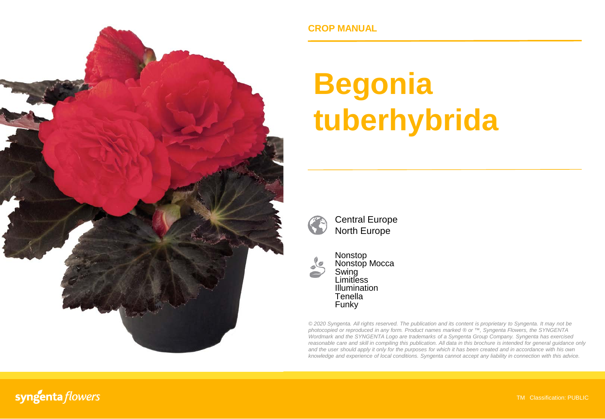

**CROP MANUAL**

# **Begonia tuberhybrida**



Central Europe North Europe



Nonstop Nonstop Mocca Swing Limitless Illumination **Tenella** Funky

*© 2020 Syngenta. All rights reserved. The publication and its content is proprietary to Syngenta. It may not be photocopied or reproduced in any form. Product names marked ® or ™, Syngenta Flowers, the SYNGENTA Wordmark and the SYNGENTA Logo are trademarks of a Syngenta Group Company. Syngenta has exercised reasonable care and skill in compiling this publication. All data in this brochure is intended for general guidance only* and the user should apply it only for the purposes for which it has been created and in accordance with his own *knowledge and experience of local conditions. Syngenta cannot accept any liability in connection with this advice.*

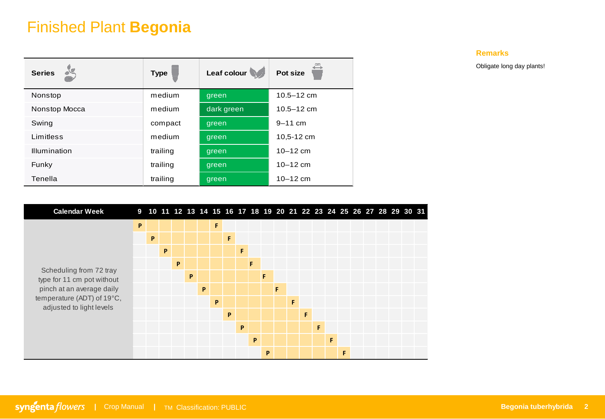# Finished Plant **Begonia**

| <b>Series</b> | <b>Type</b> | Leaf colour | Pot size       |
|---------------|-------------|-------------|----------------|
| Nonstop       | medium      | green       | $10.5 - 12$ cm |
| Nonstop Mocca | medium      | dark green  | $10.5 - 12$ cm |
| Swing         | compact     | green       | $9 - 11$ cm    |
| Limitless     | medium      | green       | 10.5-12 cm     |
| Illumination  | trailing    | green       | $10 - 12$ cm   |
| Funky         | trailing    | green       | $10 - 12$ cm   |
| Tenella       | trailing    | green       | $10 - 12$ cm   |

**Remarks**

Obligate long day plants!

| <b>Calendar Week</b>                                  |   | 9 10 11 12 13 14 15 16 17 18 19 20 21 22 23 24 25 26 27 28 29 30 31 |   |   |   |   |   |   |   |   |   |   |   |   |   |   |   |  |  |  |
|-------------------------------------------------------|---|---------------------------------------------------------------------|---|---|---|---|---|---|---|---|---|---|---|---|---|---|---|--|--|--|
|                                                       | P |                                                                     |   |   |   |   | F |   |   |   |   |   |   |   |   |   |   |  |  |  |
|                                                       |   | P                                                                   |   |   |   |   |   | F |   |   |   |   |   |   |   |   |   |  |  |  |
|                                                       |   |                                                                     | P |   |   |   |   |   | F |   |   |   |   |   |   |   |   |  |  |  |
|                                                       |   |                                                                     |   | P |   |   |   |   |   | F |   |   |   |   |   |   |   |  |  |  |
| Scheduling from 72 tray<br>type for 11 cm pot without |   |                                                                     |   |   | P |   |   |   |   |   | F |   |   |   |   |   |   |  |  |  |
| pinch at an average daily                             |   |                                                                     |   |   |   | P |   |   |   |   |   | F |   |   |   |   |   |  |  |  |
| temperature (ADT) of 19°C,                            |   |                                                                     |   |   |   |   | P |   |   |   |   |   | F |   |   |   |   |  |  |  |
| adjusted to light levels                              |   |                                                                     |   |   |   |   |   | P |   |   |   |   |   | F |   |   |   |  |  |  |
|                                                       |   |                                                                     |   |   |   |   |   |   | P |   |   |   |   |   | F |   |   |  |  |  |
|                                                       |   |                                                                     |   |   |   |   |   |   |   | P |   |   |   |   |   | F |   |  |  |  |
|                                                       |   |                                                                     |   |   |   |   |   |   |   |   | P |   |   |   |   |   | F |  |  |  |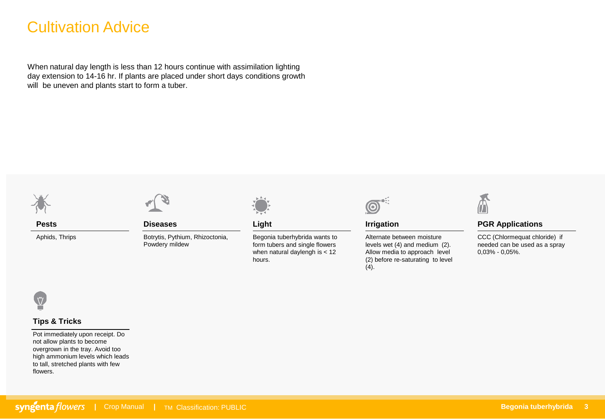# Cultivation Advice

When natural day length is less than 12 hours continue with assimilation lighting day extension to 14-16 hr. If plants are placed under short days conditions growth will be uneven and plants start to form a tuber.



**Pests**

Aphids, Thrips



**Diseases**

Botrytis, Pythium, Rhizoctonia, Powdery mildew



**Light**

Begonia tuberhybrida wants to form tubers and single flowers when natural daylengh is < 12 hours.



**Irrigation**

Alternate between moisture levels wet (4) and medium (2). Allow media to approach level (2) before re-saturating to level  $(4).$ 



### **PGR Applications**

CCC (Chlormequat chloride) if needed can be used as a spray 0,03% - 0,05%.



### **Tips & Tricks**

Pot immediately upon receipt. Do not allow plants to become overgrown in the tray. Avoid too high ammonium levels which leads to tall, stretched plants with few flowers.